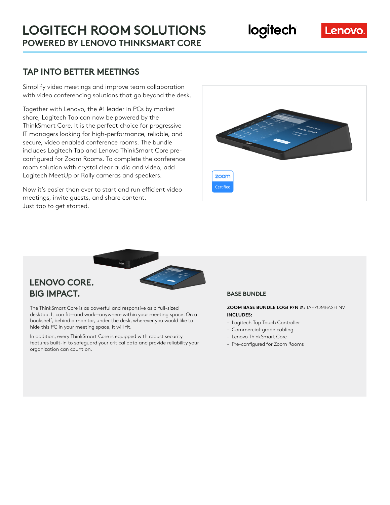## **TAP INTO BETTER MEETINGS**

Simplify video meetings and improve team collaboration with video conferencing solutions that go beyond the desk.

Together with Lenovo, the #1 leader in PCs by market share, Logitech Tap can now be powered by the ThinkSmart Core. It is the perfect choice for progressive IT managers looking for high-performance, reliable, and secure, video enabled conference rooms. The bundle includes Logitech Tap and Lenovo ThinkSmart Core preconfigured for Zoom Rooms. To complete the conference room solution with crystal clear audio and video, add Logitech MeetUp or Rally cameras and speakers.

Now it's easier than ever to start and run efficient video meetings, invite guests, and share content. Just tap to get started.



logitech



# **LENOVO CORE. BIG IMPACT. BASE BUNDLE**

The ThinkSmart Core is as powerful and responsive as a full-sized desktop. It can fit—and work—anywhere within your meeting space. On a bookshelf, behind a monitor, under the desk, wherever you would like to hide this PC in your meeting space, it will fit.

In addition, every ThinkSmart Core is equipped with robust security features built-in to safeguard your critical data and provide reliability your organization can count on.

### **ZOOM BASE BUNDLE LOGI P/N #:** TAPZOMBASELNV **INCLUDES:**

- Logitech Tap Touch Controller
- Commercial-grade cabling
- Lenovo ThinkSmart Core
- Pre-configured for Zoom Rooms